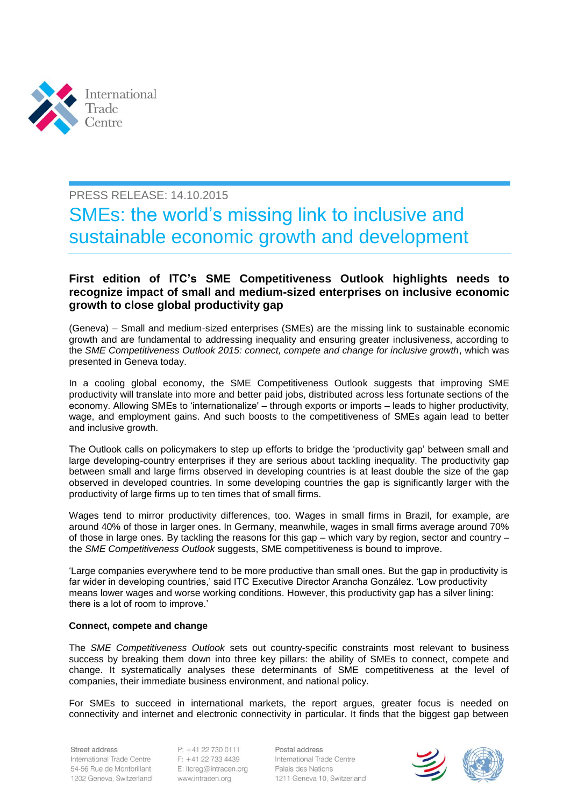

# PRESS RELEASE: 14.10.2015

# SMEs: the world's missing link to inclusive and sustainable economic growth and development

# **First edition of ITC's SME Competitiveness Outlook highlights needs to recognize impact of small and medium-sized enterprises on inclusive economic growth to close global productivity gap**

(Geneva) – Small and medium-sized enterprises (SMEs) are the missing link to sustainable economic growth and are fundamental to addressing inequality and ensuring greater inclusiveness, according to the *SME Competitiveness Outlook 2015: connect, compete and change for inclusive growth*, which was presented in Geneva today.

In a cooling global economy, the SME Competitiveness Outlook suggests that improving SME productivity will translate into more and better paid jobs, distributed across less fortunate sections of the economy. Allowing SMEs to 'internationalize' – through exports or imports – leads to higher productivity, wage, and employment gains. And such boosts to the competitiveness of SMEs again lead to better and inclusive growth.

The Outlook calls on policymakers to step up efforts to bridge the 'productivity gap' between small and large developing-country enterprises if they are serious about tackling inequality. The productivity gap between small and large firms observed in developing countries is at least double the size of the gap observed in developed countries. In some developing countries the gap is significantly larger with the productivity of large firms up to ten times that of small firms.

Wages tend to mirror productivity differences, too. Wages in small firms in Brazil, for example, are around 40% of those in larger ones. In Germany, meanwhile, wages in small firms average around 70% of those in large ones. By tackling the reasons for this gap – which vary by region, sector and country – the *SME Competitiveness Outlook* suggests, SME competitiveness is bound to improve.

'Large companies everywhere tend to be more productive than small ones. But the gap in productivity is far wider in developing countries,' said ITC Executive Director Arancha González. 'Low productivity means lower wages and worse working conditions. However, this productivity gap has a silver lining: there is a lot of room to improve.'

## **Connect, compete and change**

The *SME Competitiveness Outlook* sets out country-specific constraints most relevant to business success by breaking them down into three key pillars: the ability of SMEs to connect, compete and change. It systematically analyses these determinants of SME competitiveness at the level of companies, their immediate business environment, and national policy.

For SMEs to succeed in international markets, the report argues, greater focus is needed on connectivity and internet and electronic connectivity in particular. It finds that the biggest gap between

Street address International Trade Centre 54-56 Rue de Montbrillant 1202 Geneva, Switzerland

P: +41 22 730 0111 F: +41 22 733 4439 E: itcreg@intracen.org www.intracen.org

Postal address International Trade Centre Palais des Nations 1211 Geneva 10, Switzerland